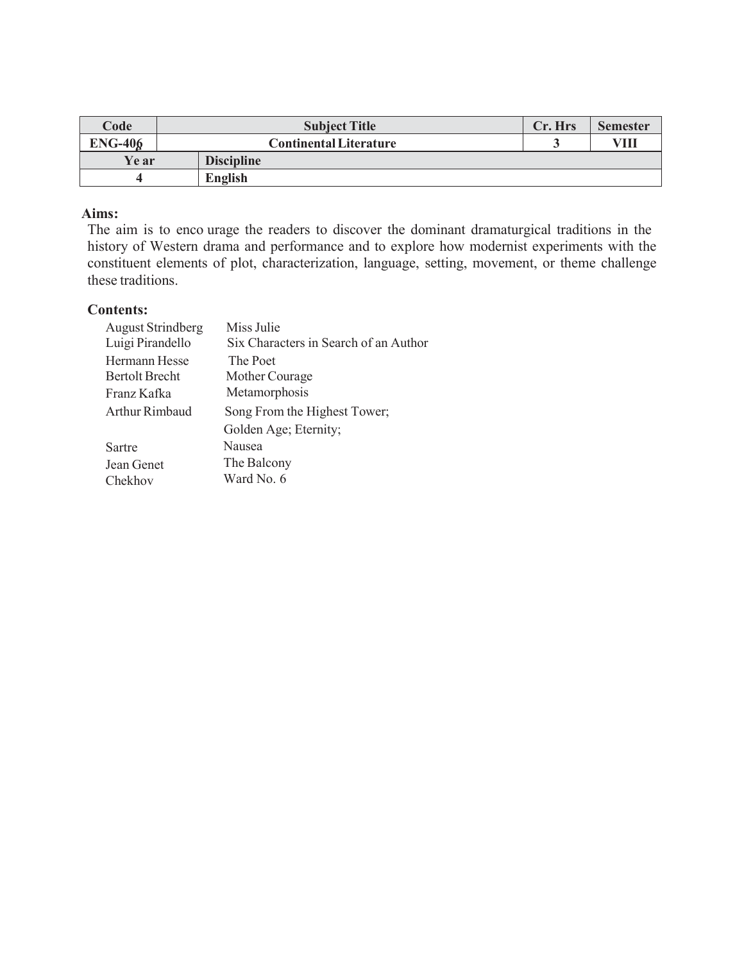| Code      | <b>Subject Title</b>          | Cr. Hrs | <b>Semester</b> |
|-----------|-------------------------------|---------|-----------------|
| $ENG-406$ | <b>Continental Literature</b> |         | VП              |
| Ye ar     | <b>Discipline</b>             |         |                 |
|           | <b>English</b>                |         |                 |

## **Aims:**

The aim is to enco urage the readers to discover the dominant dramaturgical traditions in the history of Western drama and performance and to explore how modernist experiments with the constituent elements of plot, characterization, language, setting, movement, or theme challenge these traditions.

## **Contents:**

| <b>August Strindberg</b> | Miss Julie                            |  |  |
|--------------------------|---------------------------------------|--|--|
| Luigi Pirandello         | Six Characters in Search of an Author |  |  |
| Hermann Hesse            | The Poet                              |  |  |
| <b>Bertolt Brecht</b>    | Mother Courage                        |  |  |
| Franz Kafka              | Metamorphosis                         |  |  |
| Arthur Rimbaud           | Song From the Highest Tower;          |  |  |
|                          | Golden Age; Eternity;                 |  |  |
| Sartre                   | Nausea                                |  |  |
| Jean Genet               | The Balcony                           |  |  |
| Chekhov                  | Ward No. 6                            |  |  |